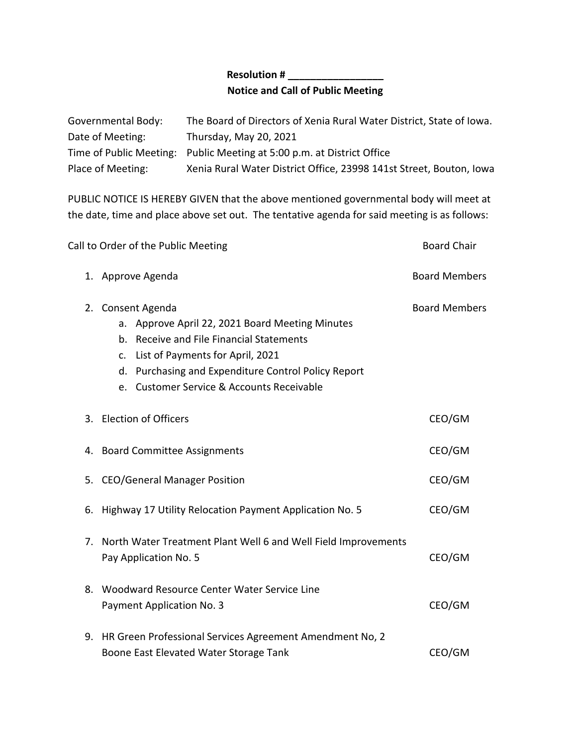## **Resolution # \_\_\_\_\_\_\_\_\_\_\_\_\_\_\_\_\_ Notice and Call of Public Meeting**

| Governmental Body: | The Board of Directors of Xenia Rural Water District, State of Iowa.   |
|--------------------|------------------------------------------------------------------------|
| Date of Meeting:   | Thursday, May 20, 2021                                                 |
|                    | Time of Public Meeting: Public Meeting at 5:00 p.m. at District Office |
| Place of Meeting:  | Xenia Rural Water District Office, 23998 141st Street, Bouton, Iowa    |

PUBLIC NOTICE IS HEREBY GIVEN that the above mentioned governmental body will meet at the date, time and place above set out. The tentative agenda for said meeting is as follows:

| Call to Order of the Public Meeting |                                                                                                                                                                                                                                                          | <b>Board Chair</b>   |
|-------------------------------------|----------------------------------------------------------------------------------------------------------------------------------------------------------------------------------------------------------------------------------------------------------|----------------------|
|                                     | 1. Approve Agenda                                                                                                                                                                                                                                        | <b>Board Members</b> |
| 2.                                  | Consent Agenda<br>a. Approve April 22, 2021 Board Meeting Minutes<br>b. Receive and File Financial Statements<br>c. List of Payments for April, 2021<br>d. Purchasing and Expenditure Control Policy Report<br>e. Customer Service & Accounts Receivable | <b>Board Members</b> |
|                                     | 3. Election of Officers                                                                                                                                                                                                                                  | CEO/GM               |
|                                     | 4. Board Committee Assignments                                                                                                                                                                                                                           | CEO/GM               |
|                                     | 5. CEO/General Manager Position                                                                                                                                                                                                                          | CEO/GM               |
| 6.                                  | Highway 17 Utility Relocation Payment Application No. 5                                                                                                                                                                                                  | CEO/GM               |
| 7.                                  | North Water Treatment Plant Well 6 and Well Field Improvements<br>Pay Application No. 5                                                                                                                                                                  | CEO/GM               |
|                                     | 8. Woodward Resource Center Water Service Line<br>Payment Application No. 3                                                                                                                                                                              | CEO/GM               |
|                                     | 9. HR Green Professional Services Agreement Amendment No, 2<br>Boone East Elevated Water Storage Tank                                                                                                                                                    | CEO/GM               |